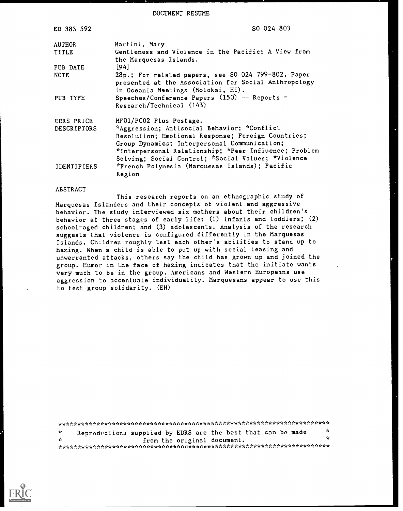DOCUMENT RESUME

| ED 383 592         | SO 024 803                                                                                                                                                                                                                                                       |
|--------------------|------------------------------------------------------------------------------------------------------------------------------------------------------------------------------------------------------------------------------------------------------------------|
| <b>AUTHOR</b>      | Martini, Mary                                                                                                                                                                                                                                                    |
| TITLE              | Gentleness and Violence in the Pacific: A View from                                                                                                                                                                                                              |
| PUB DATE           | the Marquesas Islands.<br>[94]                                                                                                                                                                                                                                   |
| <b>NOTE</b>        | 28p.; For related papers, see SO 024 799-802. Paper<br>presented at the Association for Social Anthropology<br>in Oceania Meetings (Molokai, HI).                                                                                                                |
| PUB TYPE           | Speeches/Conference Papers (150) -- Reports -<br>Research/Technical (143)                                                                                                                                                                                        |
| EDRS PRICE         | MF01/PC02 Plus Postage.                                                                                                                                                                                                                                          |
| DESCRIPTORS        | *Aggression; Antisocial Behavior; *Conflict<br>Resolution; Emotional Response; Foreign Countries;<br>Group Dynamics; Interpersonal Communication;<br>*Interpersonal Relationship; *Peer Influence; Problem<br>Solving; Social Control; *Social Values; *Violence |
| <b>IDENTIFIERS</b> | *French Polynesia (Marquesas Islands); Pacific<br>Region                                                                                                                                                                                                         |

#### ABSTRACT

This research reports on an ethnographic study of Marquesas Islanders and their concepts of violent and aggressive behavior. The study interviewed six mothers about their children's behavior at three stages of early life: (1) infants and toddlers; (2) school-aged children; and (3) adolescents. Analysis of the research suggests that violence is configured differently in the Marquesas Islands. Children roughly test each other's abilities to stand up to hazing. When a child is able to put up with social teasing and unwarranted attacks, others say the child has grown up and joined the group. Humor in the face of hazing indicates that the initiate wants very much to be in the group. Americans and Western Europeans use aggression to accentuate individuality. Marquesans appear to use this to test group solidarity. (EH)

\*\*\*\*\*\*\*\*\*\*\*\*\*\*\*\*\*\*\*\*\*\*\*\*\*\*\*\*\*\*\*\*\*\*\*\*\*\*\*\*\*\*\*\*\*\*\*\*\*\*\*\*\*\*\*\*\*\*\*\*\*\*\*\*\*\*\*\*\*\*\* \* Reproductions supplied by EDRS are the best that can be made  $\frac{1}{N}$  $\mathbf{x}$ from the original document. \*\*\*\*\*\*\*\*\*\*\*\*\*\*\*\*\*\*\*\*\*\*\*\*\*\*\*\*\*\*\*\*\*\*\*\*\*\*\*\*\*\*\*\*\*\*\*\*\*\*\*\*\*\*\*\*\*\*\*\*\*\*\*\*\*\*\*\*\*\*\*

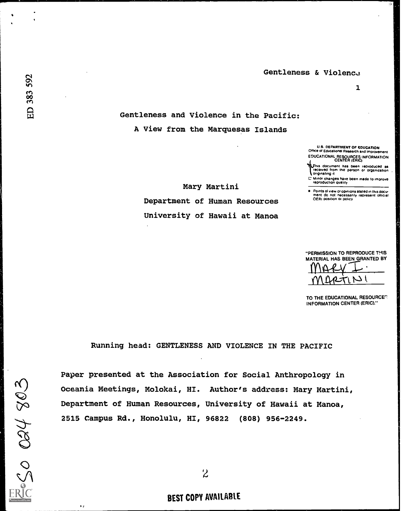$\mathbf{1}$ 

Gentleness and Violence in the Pacific: A View from the Marquesas Islands

> U.S. DEPARTMENT OF EDUCATION **DEPARTMENT OF EDUCATION** EDUCATIONAL RESOURCES INFORMATION CENTER (ERIC)

This document has been reproduced as a particle in the person or organization.

**1** originating it

C Minor changes have been made to improve reproduction duality

Points of view cr opinions stated in this docu-ment do not necessarily represent official OERI Position or policy

Mary Martini Department of Human Resources University of Hawaii at Manoa

"PERMISSION TO REPRODUCE THIS MATERIAL HAS BEEN GRANTED BY

TO THE EDUCATIONAL RESOURCER INFORMATION CENTER (ERIC)."

 $M$ 

Running head: GENTLENESS AND VIOLENCE IN THE PACIFIC

Paper presented at the Association for Social Anthropology in Oceania Meetings, Molokai, HI. Author's address: Mary Martini, Department of Human Resources, University of Hawaii at Manoa, 2515 Campus Rd., Honolulu, HI, 96822 (808) 956-2249.

# BEST COPY AVAILABLE

 $\sim$  $\sim$   $\sim$   $\sim$ 

 $\sim$ 

 $\mathbf{r}$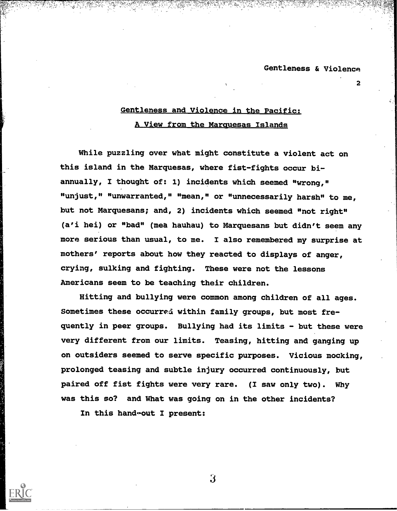2

# Gentleness and Violence in the Pacific: A View from the Marquesas Islands

While puzzling over what might constitute a violent act on this island in the Marquesas, where fist-fights occur biannually, I thought of: 1) incidents which seemed "wrong," "unjust," "unwarranted," "mean," or "unnecessarily harsh" to me, but not Marquesans; and, 2) incidents which seemed "not right" (a'i hei) or "bad" (mea hauhau) to Marquesans but didn't seem any more serious than usual, to me. I also remembered my surprise at mothers' reports about how they reacted to displays of anger, crying, sulking and fighting. These were not the lessons Americans seem to be teaching their children.

Hitting and bullying were common among children of all ages. Sometimes these occurred within family groups, but most frequently in peer groups. Bullying had its limits - but these were very different from our limits. Teasing, hitting and ganging up on outsiders seemed to serve specific purposes. Vicious mocking, prolonged teasing and subtle injury occurred continuously, but paired off fist fights were very rare. (I saw only two). Why was this so? and What was going on in the other incidents?

3

In this hand-out I present: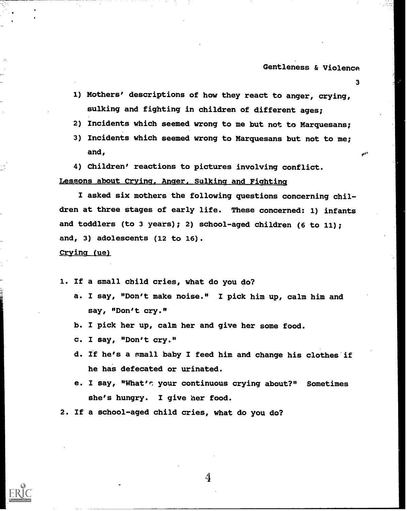3

- 1) Mothers' descriptions of how they react to anger, crying, sulking and fighting in children of different ages;
- 2) Incidents which seemed wrong to me but not to Marquesans;
- 3) Incidents which seemed wrong to Marquesans but not to me; and,
- 4) Children' reactions to pictures involving conflict.

## Lessons about Crying, Anger, Sulking and Fighting

I asked six mothers the following questions concerning children at three stages of early life. These concerned: 1) infants and toddlers (to 3 years); 2) school-aged children (6 to 11); and, 3) adolescents (12 to 16).

Crying (ue)

1. If a small child cries, what do you do?

- a. I say, "Don't make noise." I pick him up, calm him and say, "Don't cry."
- b. I pick her up, calm her and give her some food.
- c. I say, "Don't cry."
- d. If he's a small baby I feed him and change his clothes if he has defecated or urinated.
- e. I say, "What's your continuous crying about?" Sometimes she's hungry. I give her food.
- 2. If a school-aged child cries, what do you do?

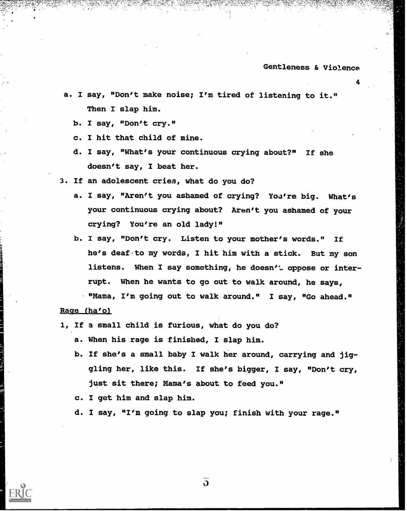4

- a. I say, "Don't make noise; I'm tired of listening to it." Then I slap him.
	- b. I say, "Don't cry."
	- c. I hit that child of mine.
	- d. I say, "What's your continuous crying about?" If she doesn't say, I beat her.
- 3. If an adolescent cries, what do you do?
	- a. I say, "Aren't you ashamed of crying? You're big. What's your continuous crying about? Aren't you ashamed of your crying? You're an old lady!"
	- b. I say, "Don't cry. Listen to your mother's words." If he's deaf to my words, I hit him with a stick. But my son listens. When I say something, he doesn't oppose or interrupt. When he wants to go out to walk around, he says, "Mama, I'm going out to walk around." I say, "Go ahead."

#### Rage (ha'o)

- 1, If a small child is furious, what do you do?
	- a. When his rage is finished, I slap him.
	- b. If she's a small baby I walk her around, carrying and jiggling her, like this. If she's bigger, I say, "Don't cry, just sit there; Mama's about to feed you."
	- c. I get him and slap him.
	- d. I say, "I'm going to slap you; finish with your rage."

 $\overline{\mathbf{d}}$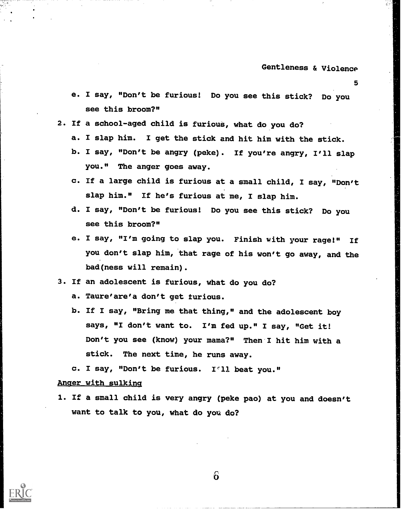5

- e. I say, "Don't be furious! Do you see this stick? Do you see this broom?"
- 2. if a school-aged child is furious, what do you do?
	- a. I slap him. I get the stick and hit him with the stick.
	- b. I say, "Don't be angry (peke). If you're angry, I'll slap you." The anger goes away.
	- c. If a large child is furious at a small child, I say, "Don't slap him." If he's furious at me, I slap him.
	- d. I say, "Don't be furious! Do you see this stick? Do you see this broom?"
	- e. I say, "I'm going to slap you. Finish with your rage!" If you don't slap him, that rage of his won't go away, and the bad(ness will remain).
- 3. If an adolescent is furious, what do you do?
	- a. Taure'are'a don't get furious.
	- b. If I say, "Bring me that thing," and the adolescent boy says, "I don't want to. I'm fed up." I say, "Get it! Don't you see (know) your mama?" Then I hit him with a stick. The next time, he runs away.
	- c. I say, "Don't be furious. 1°11 beat you."

### Anger with sulking

1. If a small child is very angry (peke pao) at you and doesn't want to talk to you, what do you do?

 $6\overline{)}$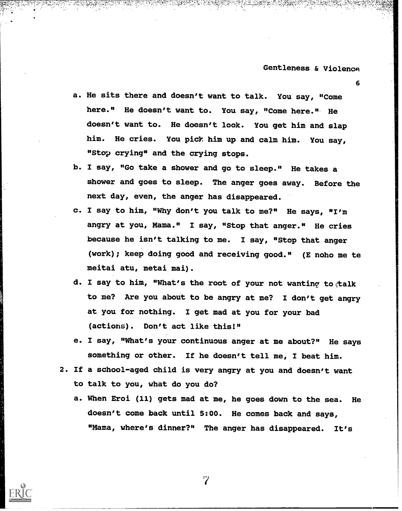6

a. He sits there and doesn't want to talk. You say, "Come here." He doesn't want to. You say, "Come here." He doesn't want to. He doesn't look. You get him and slap him. He cries. You pick him up and calm him. You say, "Stop crying" and the crying stops.

- b. I say, "Go take a shower and go to sleep." He takes a shower and goes to sleep. The anger goes away. Before the next day, even, the anger has disappeared.
- c. I say to him, "Why don't you talk to me?" He says, "I'm angry at you, Mama." I say, "Stop that anger." He cries because he isn't talking to me. I say, "Stop that anger (work); keep doing good and receiving good." (E noho me to meitai atu, metal mai).
- d. I say to him, "What's the root of your not wanting to talk to me? Are you about to be angry at me? I don't get angry at you for nothing. I get mad at you for your bad (actions). Don't act like this!"
- e. I say, "What's your continuous anger at me about?" He says something or other. If he doesn't tell me, I beat him.
- 2. If a school-aged child is very angry at you and doesn't want to talk to you, what do you do?
	- a. When Eroi (11) gets mad at me, he goes down to the sea. He doesn't come back until 5:00. He comes back and says, "Mama, where's dinner?" The anger has disappeared. It's

'2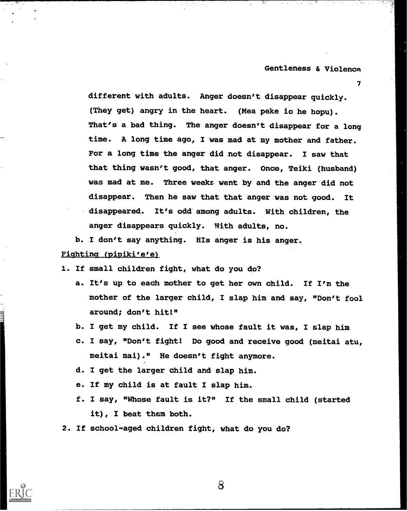7

different with adults. Anger doesn't disappear quickly. (They get) angry in the heart. (Mea peke io he hopu). That's a bad thing. The anger doesn't disappear for a long time. A long time ago, I was mad at my mother and father. For a long time the anger did not disappear. I saw that that thing wasn't good, that anger. Once, Teiki (husband) was mad at me. Three weeks went by and the anger did not disappear. Then he saw that that anger was not good. It disappeared. It's odd among adults. With children, the anger disappears quickly. With adults, no.

b. I don't say anything. His anger is his anger. Fighting (pipiki'e'e)

1. If small children fight, what do you do?

- a. It's up to each mother to get her own child. If I'm the mother of the larger child, I slap him and say, "Don't fool around; don't hit!"
- b. I get my child. If I see whose fault it was, I slap him
- c. I say, "Don't fight! Do good and receive good (meitai atu, meitai mai)." He doesn't fight anymore.
- d. I get the larger child and slap him.
- e. If my child is at fault I slap him.
- f. I say, "Whose fault is it?" If the small child (started it), I beat them both.
- 2. If school-aged children fight, what do you do?

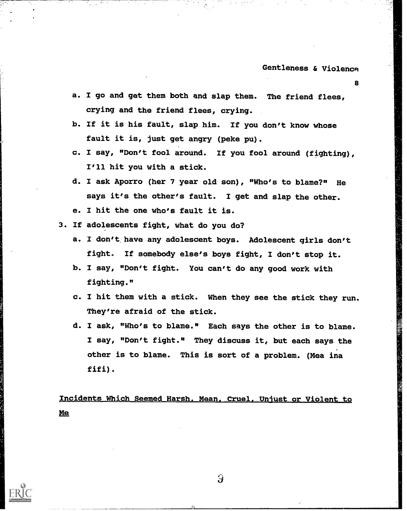8

- a. I go and get them both and slap them. The friend flees, crying and the friend flees, crying.
- b. If it is his fault, slap him. If you don't know whose fault it is, just get angry (peke pu).
- c. I say, "Don't fool around. If you fool around (fighting), I'll hit you with a stick.
- d. I ask Aporro (her 7 year old son), "Who's to blame?" He says it's the other's fault. I get and slap the other.
- e. I hit the one who's fault it is.
- 3. If adolescents fight, what do you do?
	- a. I don't have any adolescent boys. Adolescent girls don't fight. If somebody else's boys fight, I don't stop it.
	- b. I say, "Don't fight. You can't do any good work with fighting."
	- c. I hit them with a stick. When they see the stick they run. They're afraid of the stick.
	- d. I ask, "Who's to blame." Each says the other is to blame. I say, "Don't fight." They discuss it, but each says the other is to blame. This is sort of a problem. (Mea ina fifi).

Lncidents Which Seemed Harsh. Mean. Cruel. Unjust or Violent to Me

 $\Omega$ 

I)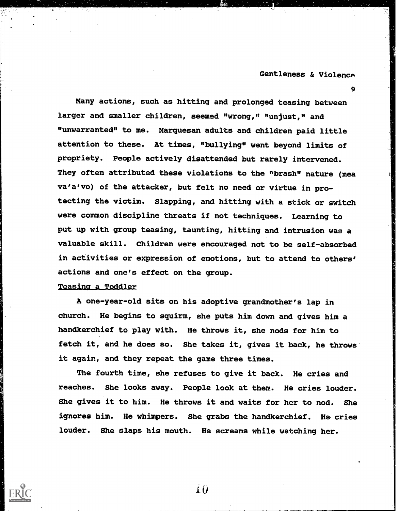9

Many actions, such as hitting and prolonged teasing between larger and smaller children, seemed "wrong," "unjust," and "unwarranted" to me. Marquesan adults and children paid little attention to these. At times, "bullying" went beyond limits of propriety. People actively disattended but rarely intervened. They often attributed these violations to the "brash" nature (mea va'a'vo) of the attacker, but felt no need or virtue in protecting the victim. Slapping, and hitting with a stick or switch were common discipline threats if not techniques. Learning to put up with group teasing, taunting, hitting and intrusion was a valuable skill. Children were encouraged not to be self-absorbed in activities or expression of emotions, but to attend to others' actions and one's effect on the group.

### Teasing a Toddler

A one-year-old sits on his adoptive grandmother's lap in church. He begins to squirm, she puts him down and gives him a handkerchief to play with. He throws it, she nods for him to fetch it, and he does so. She takes it, gives it back, he throws it again, and they repeat the game three times.

The fourth time, she refuses to give it back. He cries and reaches. She looks away. People look at them. He cries louder. She gives it to him. He throws it and waits for her to nod. She ignores him. He whimpers. She grabs the handkerchief. He cries louder. She slaps his mouth. He screams while watching her.

 $\Lambda$ <sup>1</sup>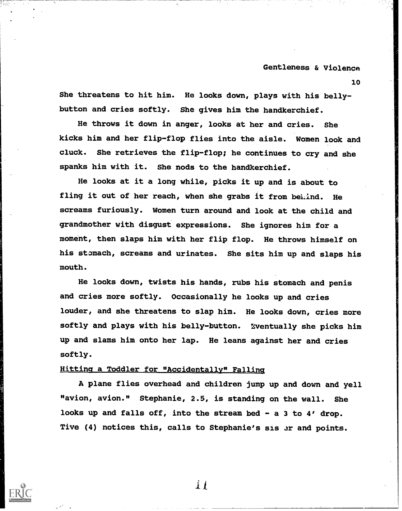10

She threatens to hit him. He looks down, plays with his bellybutton and cries softly. She gives him the handkerchief.

He throws it down in anger, looks at her and cries. She kicks him and her flip-flop flies into the aisle. Women look and cluck. She retrieves the flip-flop; he continues to cry and she spanks him with it. She nods to the handkerchief.

He looks at it a long while, picks it up and is about to fling it out of her reach, when she grabs it from behind. He screams furiously. Women turn around and look at the child and grandmother with disgust expressions. She ignores him for a moment, then slaps him with her flip flop. He throws himself on his stomach, screams and urinates. She sits him up and slaps his mouth.

He looks down, twists his hands, rubs his stomach and penis and cries more softly. Occasionally he looks up and cries louder, and she threatens to slap him. He looks down, cries more softly and plays with his belly-button. :Eventually she picks him up and slams him onto her lap. He leans against her and cries softly.

### Hitting a Toddler for "Accidentally" Falling

A plane flies overhead and children jump up and down and yell "avion, avion." Stephanie, 2.5, is standing on the wall. She looks up and falls off, into the stream bed - a 3 to 4' drop. Tive (4) notices this, calls to Stephanie's sis er and points.

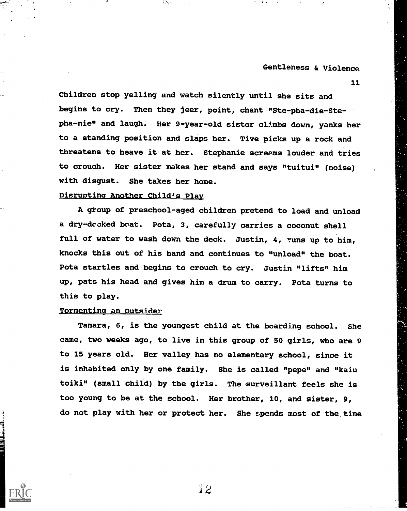11

Children stop yelling and watch silently until she sits and begins to cry. Then they jeer, point, chant "Ste-pha-die-Stepha-nie" and laugh. Her 9-year-old sister climbs down, yanks her to a standing position and slaps her. Tive picks up a rock and threatens to heave it at her. Stephanie screams louder and tries to crouch. Her sister makes her stand and says "tuitui" (noise) with disgust. She takes her home.

## Disrupting Another Child's Play

A group of preschool-aged children pretend to load and unload a dry-dccked boat. Pota, 3, carefully carries a coconut shell full of water to wash down the deck. Justin, 4, runs up to him, knocks this out of his hand and continues to "unload" the boat. Pota startles and begins to crouch to cry. Justin "lifts" him up, pats his head and gives him a drum to carry. Pota turns to this to play.

### Tormenting an Outsider

Tamara, 6, is the youngest child at the boarding school. She came, two weeks ago, to live in this group of 50 girls, who are 9 to 15 years old. Her valley has no elementary school, since it is inhabited only by one family. She is called "pepe" and "kaiu toiki" (small child) by the girls. The surveillant feels she is too young to be at the school. Her brother, 10, and sister, 9, do not play with her or protect her. She spends most of the time

,2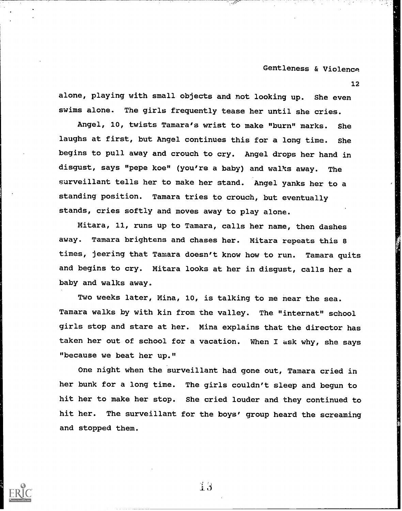12

alone, playing with small objects and not looking up. She even swims alone. The girls frequently tease her until she cries.

Angel, 10, twists Tamara's wrist to make "burn" marks. She laughs at first, but Angel continues this for a long time. She begins to pull away and crouch to cry. Angel drops her hand in disgust, says "pepe koe" (you're a baby) and walks away. The surveillant tells her to make her stand. Angel yanks her to a standing position. Tamara tries to crouch, but eventually stands, cries softly and moves away to play alone.

Mitara, 11, runs up to Tamara, calls her name, then dashes away. Tamara brightens and chases her. Mitara repeats this 8 times, jeering that Tamara doesn't know how to run. Tamara quits and begins to cry. Mitara looks at her in disgust, calls her a baby and walks away.

Two weeks later, Mina, 10, is talking to me near the sea. Tamara walks by with kin from the valley. The "internat" school girls stop and stare at her. Mina explains that the director has taken her out of school for a vacation. When I ask why, she says "because we beat her up."

One night when the surveillant had gone out, Tamara cried in her bunk for a long time. The girls couldn't sleep and begun to hit her to make her stop. She cried louder and they continued to hit her. The surveillant for the boys' group heard the screaming and stopped them.



 $\overline{1}$   $\overline{3}$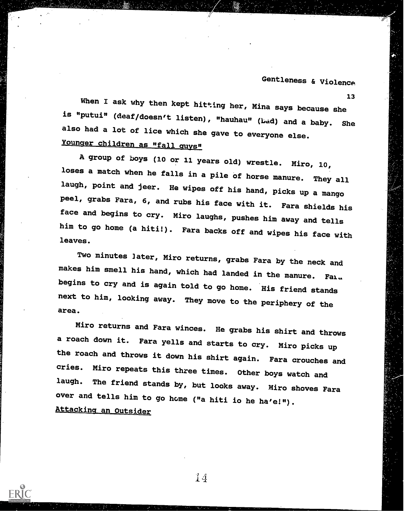13

When I ask why then kept hitting her, Mina says because she is "putui" (deaf/doesn't listen), "hauhau" (Lad) and a baby. She also had a lot of lice which she gave to everyone else. Younger children as "fall guys"

 $y = -$ 

A group of boys (10 or 11 years old) wrestle. Miro, 10, loses a match when he falls in a pile of horse manure. They all laugh, point and jeer. He wipes off his hand, picks up a mango peel, grabs Fara, 6, and rubs his face with it. Fara shields his face and begins to cry. Miro laughs, pushes him away and tells him to go home (a hiti!). Fara backs off and wipes his face with leaves.

Two minutes later, Miro returns, grabs Fara by the neck and makes him smell his hand, which had landed in the manure. Fala begins to cry and is again told to go home. His friend stands next to him, looking away. They move to the periphery of the area.

Miro returns and Fara winces. He grabs his shirt and throws a roach down it. Fara yells and starts to cry. Miro picks up the roach and throws it down his shirt again. Fara crouches and cries. Miro repeats this three times. Other boys watch and laugh. The friend stands by, but looks away. Miro shoves Fara over and tells him to go home ("a hiti io he ha'e!"). Attacking an Outsider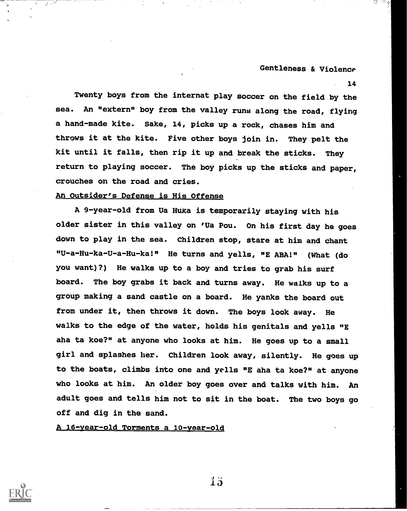14

Twenty boys from the internat play soccer on the field by the sea. An "extern" boy from the valley runs along the road, flying a hand-made kite. Sake, 14, picks up a rock, chases him and throws it at the kite. Five other boys join in. They pelt the kit until it falls, then rip it up and break the sticks. They return to playing soccer. The boy picks up the sticks and paper, crouches on the road and cries.

# An Outsider's Defense is His Offense

A 9-year-old from Ua Huka is temporarily staying with his older sister in this valley on 'Ua Pou. On his first day he goes down to play in the sea. Children stop, stare at him and chant "U-a-Hu-ka-U-a-Hu-ka!" He turns and yells, "E ABA!" (What (do you want)?) He walks up to a boy and tries to grab his surf board. The boy grabs it back and turns away. He walks up to a group making a sand castle on a board. He yanks the board out from under it, then throws it down. The boys look away. He walks to the edge of the water, holds his genitals and yells "E aha ta koe?" at anyone who looks at him. He goes up to a small girl and splashes her. Children look away, silently. He goes up to the boats, climbs into one and yells "E aha ta koe?" at anyone who looks at him. An older boy goes over and talks with him. An adult goes and tells him not to sit in the boat. The two boys go off and dig in the sand.

A 16-year-old Torments a 10-year-old



I 5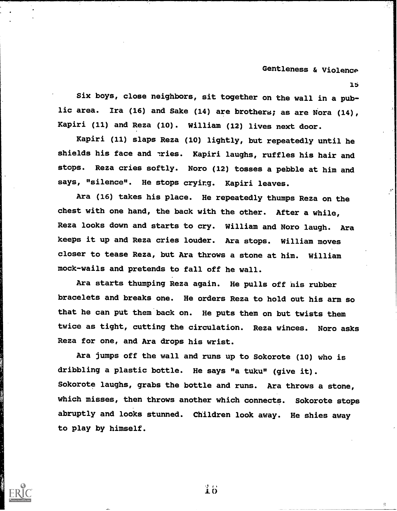lb

Six boys, close neighbors, sit together on the wall in a public area. Ira (16) and Sake (14) are brothers; as are Nora (14), Kapiri (11) and Reza (10). William (12) lives next door.

Kapiri (11) slaps Reza (10) lightly, but repeatedly until he shields his face and 'ries. Kapiri laughs, ruffles his hair and stops. Reza cries softly. Noro (12) tosses a pebble at him and says, "silence". He stops crying. Kapiri leaves.

Ara (16) takes his place. He repeatedly thumps Reza on the chest with one hand, the back with the other. After a while, Reza looks down and starts to cry. William and Noro laugh. Ara keeps it up and Reza cries louder. Ara stops. William moves closer to tease Reza, but Ara throws a stone at him. William mock-wails and pretends to fall off he wall.

Ara starts thumping Reza again. He pulls off his rubber bracelets and breaks one. He orders Reza to hold out his arm so that he can put them back on. He puts them on but twists them twice as tight, cutting the circulation. Reza winces. Noro asks Reza for one, and Ara drops his wrist.

Ara jumps off the wall and runs up to Sokorote (10) who is dribbling a plastic bottle. He says "a tuku" (give it). Sokorote laughs, grabs the bottle and runs. Ara throws a stone, which misses, then throws another which connects. Sokorote stops abruptly and looks stunned. Children look away. He shies away to play by himself.

 $\mathbf{10}$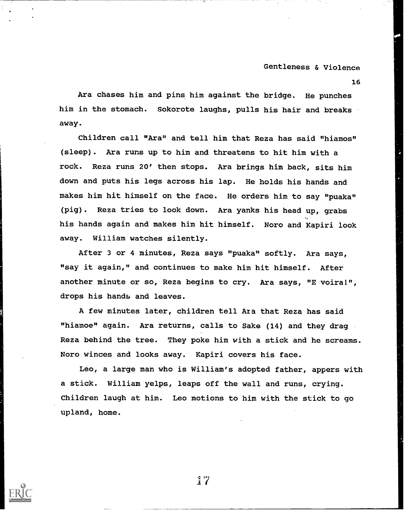16

Ara chases him and pins him against the bridge. He punches him in the stomach. Sokorote laughs, pulls his hair and breaks away.

Children call "Ara" and tell him that Reza has said "hiamos" (sleep). Ara runs up to him and threatens to hit him with a rock. Reza runs 20' then stops. Ara brings him back, sits him down and puts his legs across his lap. He holds his hands and makes him hit himself on the face. He orders him to say "puaka" (pig). Reza tries to look down. Ara yanks his head up, grabs his hands again and makes him hit himself. Noro and Kapiri look away. William watches silently.

After 3 or 4 minutes, Reza says "puaka" softly. Ara says, "say it again," and continues to make him hit himself. After another minute or so, Reza begins to cry. Ara says, "E voira!", drops his hands and leaves.

A few minutes later, children tell Aza that Reza has said "hiamoe" again. Ara returns, calls to Sake (14) and they drag Reza behind the tree. They poke him with a stick and he screams. Noro winces and looks away. Kapiri covers his face.

Leo, a large man who is William's adopted father, appers with a stick. William yelps, leaps off the wall and runs, crying. Children laugh at him. Leo motions to him with the stick to go upland, home.

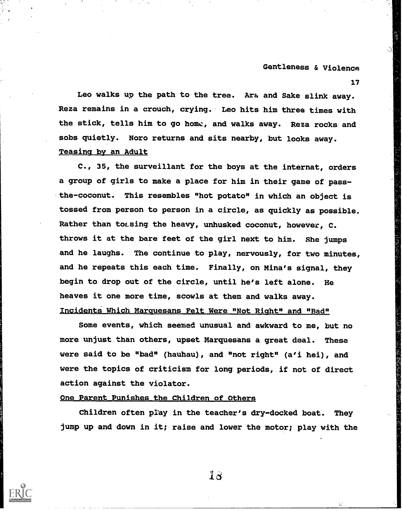17

Leo walks up the path to the tree. Ara and Sake slink away. Reza remains in a crouch, crying. Leo hits him three times with the stick, tells him to go home, and walks away. Reza rocks and sobs quietly. Noro returns and sits nearby, but looks away. Teasing by an Adult

C., 35, the surveillant for the boys at the internat, orders a group of girls to make a place for him in their game of passthe-coconut. This resembles "hot potato" in which an object is tossed from person to person in a circle, as quickly as possible. Rather than to sing the heavy, unhusked coconut, however, C. throws it at the bare feet of the girl next to him. She jumps and he laughs. The continue to play, nervously, for two minutes, and he repeats this each time. Finally, on Mina's signal, they begin to drop out of the circle, until he's left alone. He heaves it one more time, scowls at them and walks away. Incidents Which Marauesans Felt Were "Not Right" and "Bad"

Some events, which seemed unusual and awkward to me, but no more unjust than others, upset Marquesans a great deal. These were said to be "bad" (hauhau), and "not right" (a'i hei), and were the topics of criticism for long periods, if not of direct action against the violator.

### One Parent Punishes the Children of Others

Children often play in the teacher's dry-docked boat. They jump up and down in it; raise and lower the motor; play with the

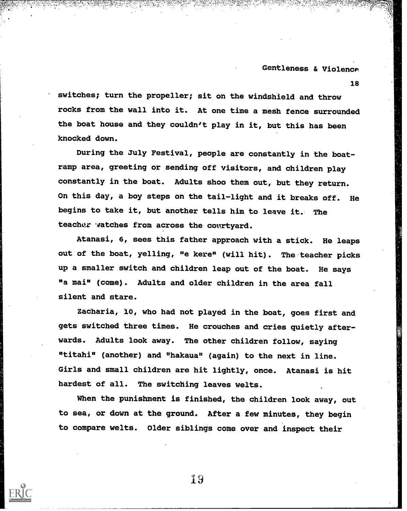18

switches; turn the propeller; sit on the windshield and throw rocks from the wall into it. At one time a mesh fence surrounded the boat house and they couldn't play in it, but this has been knocked down.

During the July Festival, people are constantly in the boatramp area, greeting or sending off visitors, and children play constantly in the boat. Adults shoo them out, but they return. On this day, a boy steps on the tail-light and it breaks off. He begins to take it, but another tells him to leave it. The teacher watches from across the courtyard.

Atanasi, 6, sees this father approach with a stick. He leaps out of the boat, yelling, "e kere" (will hit). The teacher picks up a smaller switch and children leap out of the boat. He says "a mai" (come). Adults and older children in the area fall silent and stare.

Zacharia, 10, who had not played in the boat, goes first and gets switched three times. He crouches and cries quietly afterwards. Adults look away. The other children follow, saying "titahi" (another) and "hakaua" (again) to the next in line. Girls and small children are hit lightly, once. Atanasi is hit hardest of all. The switching leaves welts.

When the punishment is finished, the children look away, out to sea, or down at the ground. After a few minutes, they begin to compare welts. Older siblings come over and inspect their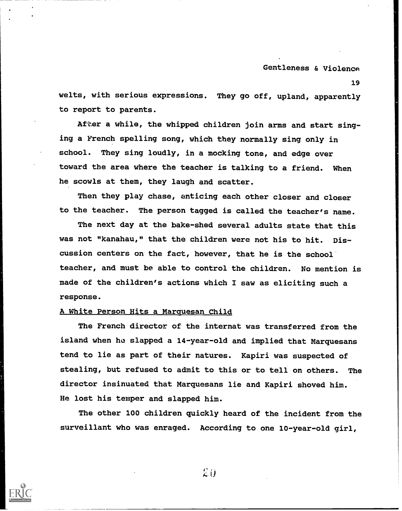19

welts, with serious expressions. They go off, upland, apparently to report to parents.

After a while, the whipped children join arms and start singing a French spelling song, which they normally sing only in school. They sing loudly, in a mocking tone, and edge over toward the area where the teacher is talking to a friend. When he scowls at them, they laugh and scatter.

Then they play chase, enticing each other closer and closer to the teacher. The person tagged is called the teacher's name.

The next day at the bake-shed several adults state that this was not "kanahau," that the children were not his to hit. Discussion centers on the fact, however, that he is the school teacher, and must be able to control the children. No mention is made of the children's actions which I saw as eliciting such a response.

### A White Person Hits a Marquesan Child

The French director of the internat was transferred from the island when ho slapped a 14-year-old and implied that Marquesans tend to lie as part of their natures. Kapiri was suspected of stealing, but refused to admit to this or to tell on others. The director insinuated that Marquesans lie and Kapiri shoved him. He lost his temper and slapped him.

The other 100 children quickly heard of the incident from the surveillant who was enraged. According to one 10-year-old girl,



 $2i$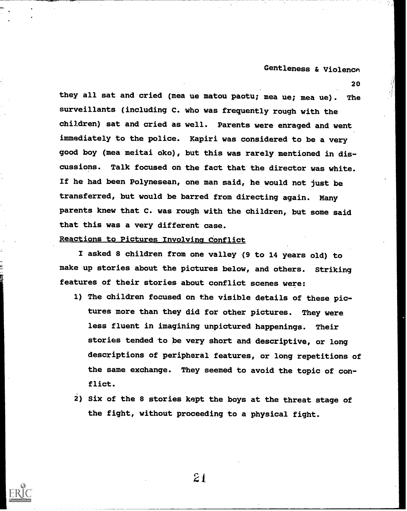20

they all sat and cried (mea ue matou paotu; mea ue; mea ue). The surveillants (including C. who was frequently rough with the children) sat and cried as well. Parents were enraged and went immediately to the police. Kapiri was considered to be a very good boy (mea meitai oko), but this was rarely mentioned in discussions. Talk focused on the fact that the director was white. If he had been Polynesean, one man said, he would not just be transferred, but would be barred from directing again. Many parents knew that C. was rough with the children, but some said that this was a very different case.

# Reactions to Pictures Involving Conflict

I asked 8 children from one valley (9 to 14 years old) to make up stories about the pictures below, and others. Striking features of their stories about conflict scenes were:

- 1) The children focused on the visible details of these pictures more than they did for other pictures. They were less fluent in imagining unpictured happenings. Their stories tended to be very short and descriptive, or long descriptions of peripheral features, or long repetitions of the same exchange. They seemed to avoid the topic of conflict.
- 2) Six of the 8 stories kept the boys at the threat stage of the fight, without proceeding to a physical fight.

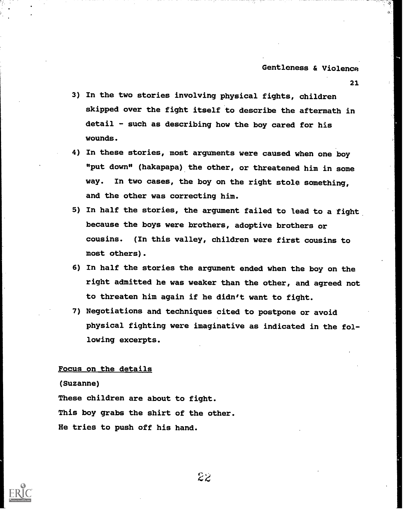23.

- 3) In the two stories involving physical fights, children skipped over the fight itself to describe the aftermath in detail - such as describing how the boy cared for his wounds.
- 4) In these stories, most arguments were caused when one boy "put down" (hakapapa) the other, or threatened him in some way. In two cases, the boy on the right stole something, and the other was correcting him.
- 5) In half the stories, the argument failed to lead to a fight because the boys were brothers, adoptive brothers or cousins. (In this valley, children were first cousins to most others).
- 6) In half the stories the argument ended when the boy on the right admitted he was weaker than the other, and agreed not to threaten him again if he didn't want to fight.
- 7) Negotiations and techniques cited to postpone or avoid physical fighting were imaginative as indicated in the following excerpts.

### Focus on the details

(Suzanne)

These children are about to fight. This boy grabs the shirt of the other. He tries to push off his hand.

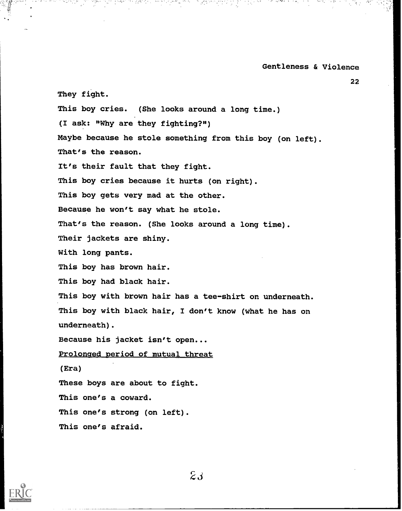22

They fight. This boy cries. (She looks around a long time.) (I ask: 'Why are they fighting?") Maybe because he stole something from this boy (on left). That's the reason. It's their fault that they fight. This boy cries because it hurts (on right). This boy gets very mad at the other. Because he won't say what he stole. That's the reason. (She looks around a long time). Their jackets are shiny. With long pants. This boy has brown hair. This boy had black hair. This boy with brown hair has a tee-shirt on underneath. This boy with black hair, I don't know (what he has on underneath). Because his jacket isn't open... Prolonged period of mutual threat (Era) These boys are about to fight. This one's a coward. This one's strong (on left).

This one's afraid.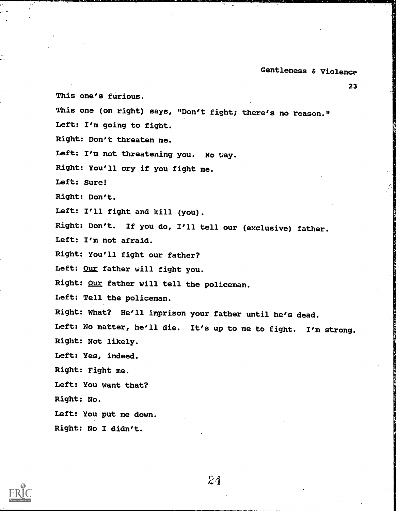23 This one's furious. This one (on right) says, "Don't fight; there's no reason." Left: I'm going to fight. Right: Don't threaten me. Left: I'm not threatening you. No uay. Right: You'll cry if you fight me. Left: Sure! Right: Don't. Left: I'll fight and kill (you). Right: Don't. If you do, I'll tell our (exclusive) father. Left: I'm not afraid. Right: You'll fight our father? Left: Our father will fight you. Right: Our father will tell the policeman. Left: Tell the policeman. Right: What? He'll imprison your father until he's dead. Left: No matter, he'll die. It's up to me to fight. I'm strong. Right: Not likely. Left: Yes, indeed. Right: Fight me. Left: You want that? Right: No. Left: You put me down. Right: No I didn't.

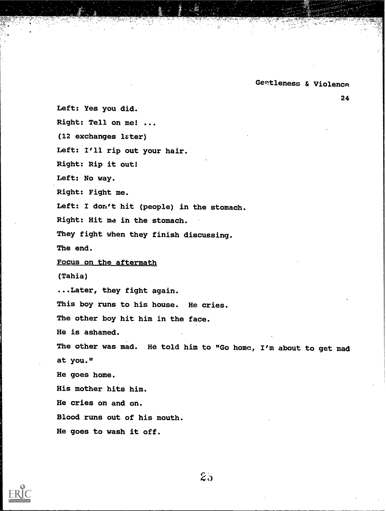24

Left: Yes you did. Right: Tell on me! ... (12 exchanges later) Left: I'll rip out your hair. Right: Rip it out! Left: No way. Right: Fight me. Left: I don't hit (people) in the stomach. Right: Hit ma in the stomach. They fight when they finish discussing. The end. Focus on the aftermath (Tahia) ...Later, they fight again. This boy runs to his house. He cries. The other boy hit him in the face. He is ashamed. The other was mad. He told him to "Go home, I'm about to get mad at you." He goes home. His mother hits him. He cries on and on. Blood runs out of his mouth. He goes to wash it off.



 $25<sub>o</sub>$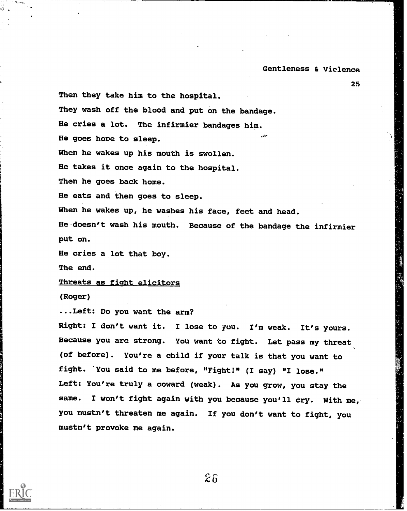25

Then they take him to the hospital. They wash off the blood and put on the bandage. He cries a lot. The infirmier bandages him. He goes home to sleep. When he wakes up his mouth is swollen. He takes it once again to the hospital. Then he goes back home. He eats and then goes to sleep. When he wakes up, he washes his face, feet and head. He doesn't wash his mouth. Because of the bandage the infirmier put on. He cries a lot that boy. The end.

Threats as fight elicitors

(Roger)

...Left: Do you want the arm?

Right: I don't want it. I lose to you. I'm weak. It's yours. Because you are strong. You want to fight. Let pass my threat (of before). You're a child if your talk is that you want to fight. You said to me before, "Fight!" (I say) "I lose." Left: You're truly a coward (weak). As you grow, you stay the same. I won't fight again with you because you'll cry. With me, you mustn't threaten me again. If you don't want to fight, you mustn't provoke me again.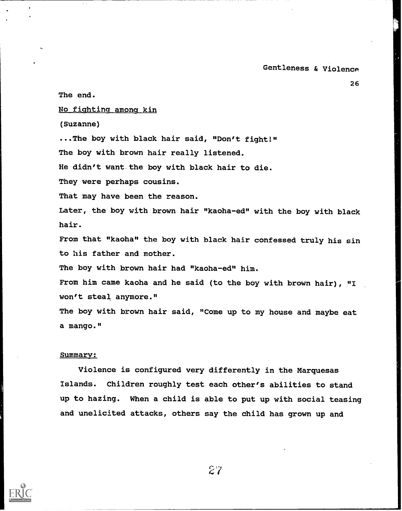26

The end. No fighting among kin (Suzanne) ...The boy with black hair said, "Don't fight!" The boy with brown hair really listened. He didn't want the boy with black hair to die. They were perhaps cousins. That may have been the reason. Later, the boy with brown hair "kaoha-ed" with the boy with black hair. From that "kaoha" the boy with black hair confessed truly his sin to his father and mother. The boy with brown hair had "kaoha-ed" him. From him came kaoha and he said (to the boy with brown hair), "I won't steal anymore." The boy with brown hair said, "Come up to my house and maybe eat

#### Summary:

a mango."

Violence is configured very differently in the Marquesas Islands. Children roughly test each other's abilities to stand up to hazing. When a child is able to put up with social teasing and unelicited attacks, others say the child has grown up and